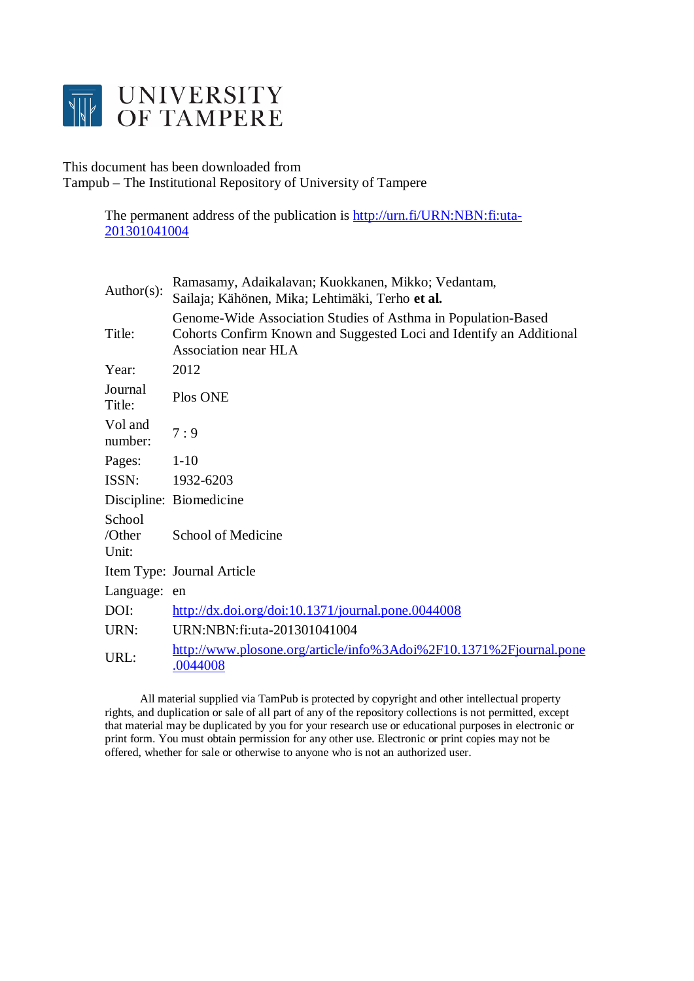

# This document has been downloaded from Tampub – The Institutional Repository of University of Tampere

The permanent address of the publication is [http://urn.fi/URN:NBN:fi:uta-](http://urn.fi/URN:NBN:fi:uta-201301041004)[201301041004](http://urn.fi/URN:NBN:fi:uta-201301041004)

| Author( $s$ ):            | Ramasamy, Adaikalavan; Kuokkanen, Mikko; Vedantam,<br>Sailaja; Kähönen, Mika; Lehtimäki, Terho et al.                                                        |
|---------------------------|--------------------------------------------------------------------------------------------------------------------------------------------------------------|
| Title:                    | Genome-Wide Association Studies of Asthma in Population-Based<br>Cohorts Confirm Known and Suggested Loci and Identify an Additional<br>Association near HLA |
| Year:                     | 2012                                                                                                                                                         |
| Journal<br>Title:         | Plos ONE                                                                                                                                                     |
| Vol and<br>number:        | 7:9                                                                                                                                                          |
| Pages:                    | $1-10$                                                                                                                                                       |
| ISSN:                     | 1932-6203                                                                                                                                                    |
|                           | Discipline: Biomedicine                                                                                                                                      |
| School<br>/Other<br>Unit: | School of Medicine                                                                                                                                           |
|                           | Item Type: Journal Article                                                                                                                                   |
| Language:                 | en                                                                                                                                                           |
| DOI:                      | $\frac{http://dx.doi.org/doi:10.1371/journal.pone.0044008}{http://dx.doi.org/doi:10.1371/journal.pone.0044008}$                                              |
| URN:                      | URN:NBN:fi:uta-201301041004                                                                                                                                  |
| URL:                      | http://www.plosone.org/article/info%3Adoi%2F10.1371%2Fjournal.pone<br>.0044008                                                                               |

 All material supplied via TamPub is protected by copyright and other intellectual property rights, and duplication or sale of all part of any of the repository collections is not permitted, except that material may be duplicated by you for your research use or educational purposes in electronic or print form. You must obtain permission for any other use. Electronic or print copies may not be offered, whether for sale or otherwise to anyone who is not an authorized user.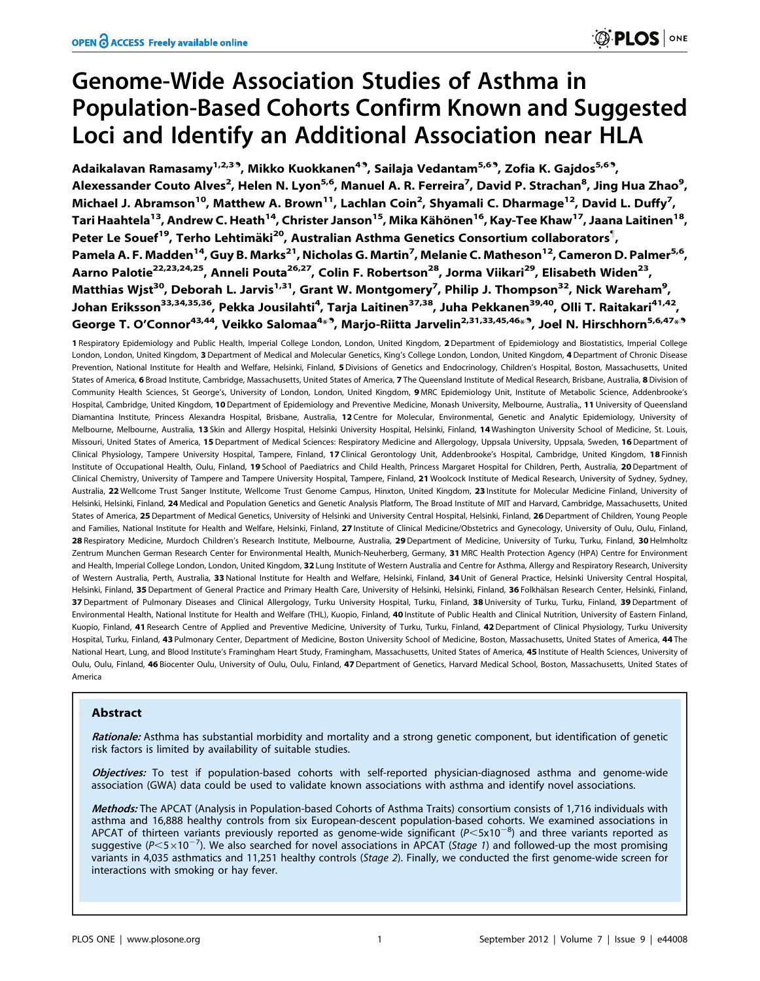# Genome-Wide Association Studies of Asthma in Population-Based Cohorts Confirm Known and Suggested Loci and Identify an Additional Association near HLA

Adaikalavan Ramasamy<sup>1,2,39</sup>, Mikko Kuokkanen<sup>49</sup>, Sailaja Vedantam<sup>5,69</sup>, Zofia K. Gajdos<sup>5,69</sup>, Alexessander Couto Alves<sup>2</sup>, Helen N. Lyon<sup>5,6</sup>, Manuel A. R. Ferreira<sup>7</sup>, David P. Strachan<sup>8</sup>, Jing Hua Zhao<sup>9</sup>, Michael J. Abramson<sup>10</sup>, Matthew A. Brown<sup>11</sup>, Lachlan Coin<sup>2</sup>, Shyamali C. Dharmage<sup>12</sup>, David L. Duffy<sup>7</sup>, Tari Haahtela<sup>13</sup>, Andrew C. Heath<sup>14</sup>, Christer Janson<sup>15</sup>, Mika Kähönen<sup>16</sup>, Kay-Tee Khaw<sup>17</sup>, Jaana Laitinen<sup>18</sup>, Peter Le Souef<sup>19</sup>, Terho Lehtimäki<sup>20</sup>, Australian Asthma Genetics Consortium collaborators<sup>¶</sup>, Pamela A. F. Madden<sup>14</sup>, Guy B. Marks<sup>21</sup>, Nicholas G. Martin<sup>7</sup>, Melanie C. Matheson<sup>12</sup>, Cameron D. Palmer<sup>5,6</sup>, Aarno Palotie<sup>22,23,24,25</sup>, Anneli Pouta<sup>26,27</sup>, Colin F. Robertson<sup>28</sup>, Jorma Viikari<sup>29</sup>, Elisabeth Widen<sup>23</sup>, Matthias Wjst<sup>30</sup>, Deborah L. Jarvis<sup>1,31</sup>, Grant W. Montgomery<sup>7</sup>, Philip J. Thompson<sup>32</sup>, Nick Wareham<sup>9</sup>, Johan Eriksson<sup>33,34,35,36</sup>, Pekka Jousilahti<sup>4</sup>, Tarja Laitinen<sup>37,38</sup>, Juha Pekkanen<sup>39,40</sup>, Olli T. Raitakari<sup>41,42</sup>, George T. O'Connor<sup>43,44</sup>, Veikko Salomaa<sup>4 $\ast^{\mathfrak{A}},$  Marjo-Riitta Jarvelin<sup>2,31,33,45,46 $\ast^{\mathfrak{A}},$  Joel N. Hirschhorn<sup>5,6,47 $\ast^{\mathfrak{A}}$ </sup></sup></sup>

1 Respiratory Epidemiology and Public Health, Imperial College London, London, United Kingdom, 2 Department of Epidemiology and Biostatistics, Imperial College London, London, United Kingdom, 3 Department of Medical and Molecular Genetics, King's College London, London, United Kingdom, 4 Department of Chronic Disease Prevention, National Institute for Health and Welfare, Helsinki, Finland, 5 Divisions of Genetics and Endocrinology, Children's Hospital, Boston, Massachusetts, United States of America, 6 Broad Institute, Cambridge, Massachusetts, United States of America, 7 The Queensland Institute of Medical Research, Brisbane, Australia, 8 Division of Community Health Sciences, St George's, University of London, London, United Kingdom, 9 MRC Epidemiology Unit, Institute of Metabolic Science, Addenbrooke's Hospital, Cambridge, United Kingdom, 10 Department of Epidemiology and Preventive Medicine, Monash University, Melbourne, Australia,, 11 University of Queensland Diamantina Institute, Princess Alexandra Hospital, Brisbane, Australia, 12 Centre for Molecular, Environmental, Genetic and Analytic Epidemiology, University of Melbourne, Melbourne, Australia, 13 Skin and Allergy Hospital, Helsinki University Hospital, Helsinki, Finland, 14 Washington University School of Medicine, St. Louis, Missouri, United States of America, 15 Department of Medical Sciences: Respiratory Medicine and Allergology, Uppsala University, Uppsala, Sweden, 16 Department of Clinical Physiology, Tampere University Hospital, Tampere, Finland, 17 Clinical Gerontology Unit, Addenbrooke's Hospital, Cambridge, United Kingdom, 18 Finnish Institute of Occupational Health, Oulu, Finland, 19 School of Paediatrics and Child Health, Princess Margaret Hospital for Children, Perth, Australia, 20 Department of Clinical Chemistry, University of Tampere and Tampere University Hospital, Tampere, Finland, 21 Woolcock Institute of Medical Research, University of Sydney, Sydney, Australia, 22 Wellcome Trust Sanger Institute, Wellcome Trust Genome Campus, Hinxton, United Kingdom, 23 Institute for Molecular Medicine Finland, University of Helsinki, Helsinki, Finland, 24 Medical and Population Genetics and Genetic Analysis Platform, The Broad Institute of MIT and Harvard, Cambridge, Massachusetts, United States of America, 25 Department of Medical Genetics, University of Helsinki and University Central Hospital, Helsinki, Finland, 26 Department of Children, Young People and Families, National Institute for Health and Welfare, Helsinki, Finland, 27 Institute of Clinical Medicine/Obstetrics and Gynecology, University of Oulu, Oulu, Finland, 28 Respiratory Medicine, Murdoch Children's Research Institute, Melbourne, Australia, 29 Department of Medicine, University of Turku, Turku, Finland, 30 Helmholtz Zentrum Munchen German Research Center for Environmental Health, Munich-Neuherberg, Germany, 31 MRC Health Protection Agency (HPA) Centre for Environment and Health, Imperial College London, London, United Kingdom, 32 Lung Institute of Western Australia and Centre for Asthma, Allergy and Respiratory Research, University of Western Australia, Perth, Australia, 33 National Institute for Health and Welfare, Helsinki, Finland, 34 Unit of General Practice, Helsinki University Central Hospital, Helsinki, Finland, 35 Department of General Practice and Primary Health Care, University of Helsinki, Helsinki, Finland, 36 Folkhälsan Research Center, Helsinki, Finland, 37 Department of Pulmonary Diseases and Clinical Allergology, Turku University Hospital, Turku, Finland, 38 University of Turku, Turku, Finland, 39 Department of Environmental Health, National Institute for Health and Welfare (THL), Kuopio, Finland, 40 Institute of Public Health and Clinical Nutrition, University of Eastern Finland, Kuopio, Finland, 41 Research Centre of Applied and Preventive Medicine, University of Turku, Turku, Finland, 42 Department of Clinical Physiology, Turku University Hospital, Turku, Finland, 43 Pulmonary Center, Department of Medicine, Boston University School of Medicine, Boston, Massachusetts, United States of America, 44 The National Heart, Lung, and Blood Institute's Framingham Heart Study, Framingham, Massachusetts, United States of America, 45 Institute of Health Sciences, University of Oulu, Oulu, Finland, 46 Biocenter Oulu, University of Oulu, Oulu, Finland, 47 Department of Genetics, Harvard Medical School, Boston, Massachusetts, United States of America

# Abstract

Rationale: Asthma has substantial morbidity and mortality and a strong genetic component, but identification of genetic risk factors is limited by availability of suitable studies.

Objectives: To test if population-based cohorts with self-reported physician-diagnosed asthma and genome-wide association (GWA) data could be used to validate known associations with asthma and identify novel associations.

Methods: The APCAT (Analysis in Population-based Cohorts of Asthma Traits) consortium consists of 1,716 individuals with asthma and 16,888 healthy controls from six European-descent population-based cohorts. We examined associations in APCAT of thirteen variants previously reported as genome-wide significant ( $P < 5x10^{-8}$ ) and three variants reported as suggestive (P<5 $\times$ 10<sup>-7</sup>). We also searched for novel associations in APCAT (Stage 1) and followed-up the most promising variants in 4,035 asthmatics and 11,251 healthy controls (Stage 2). Finally, we conducted the first genome-wide screen for interactions with smoking or hay fever.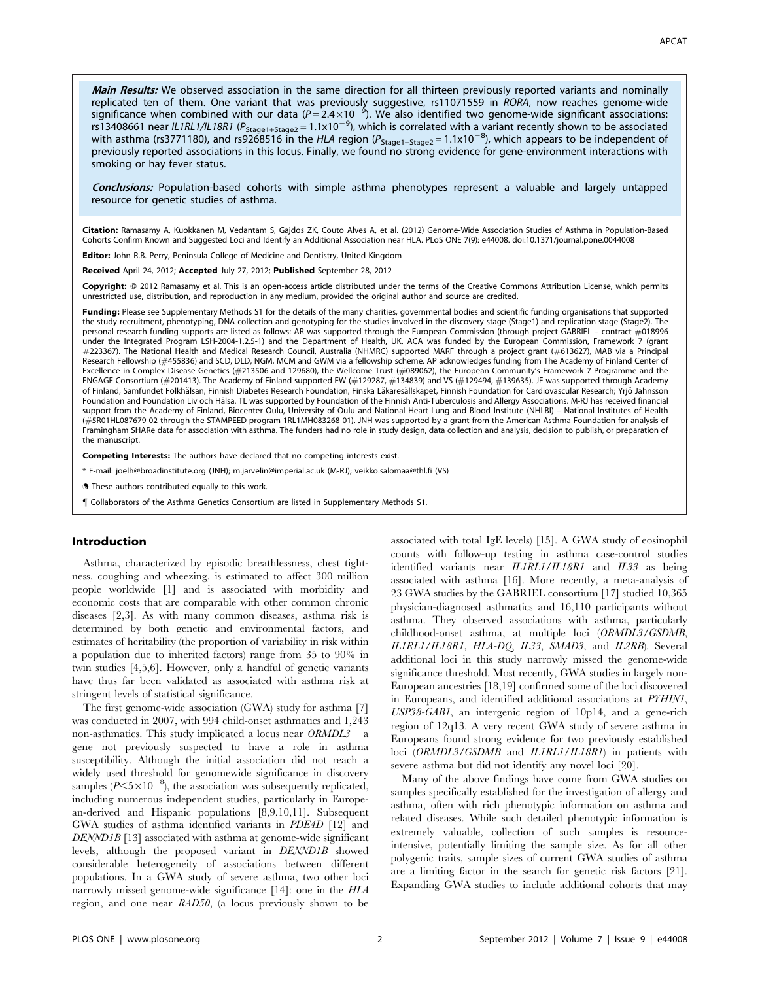Main Results: We observed association in the same direction for all thirteen previously reported variants and nominally replicated ten of them. One variant that was previously suggestive, rs11071559 in *RORA*, now reaches genome-wide<br>significance when combined with our data (P=2.4×10<sup>−9</sup>). We also identified two genome-wide significant asso rs13408661 near IL1RL1/IL18R1 ( $P_{\text{Stage1+Stage2}} = 1.1 \times 10^{-9}$ ), which is correlated with a variant recently shown to be associated with asthma (rs3771180), and rs9268516 in the HLA region ( $P_{\text{stage1+Stage2}} = 1.1x10^{-8}$ ), which appears to be independent of previously reported associations in this locus. Finally, we found no strong evidence for gene-environment interactions with smoking or hay fever status.

Conclusions: Population-based cohorts with simple asthma phenotypes represent a valuable and largely untapped resource for genetic studies of asthma.

Citation: Ramasamy A, Kuokkanen M, Vedantam S, Gajdos ZK, Couto Alves A, et al. (2012) Genome-Wide Association Studies of Asthma in Population-Based Cohorts Confirm Known and Suggested Loci and Identify an Additional Association near HLA. PLoS ONE 7(9): e44008. doi:10.1371/journal.pone.0044008

Editor: John R.B. Perry, Peninsula College of Medicine and Dentistry, United Kingdom

Received April 24, 2012; Accepted July 27, 2012; Published September 28, 2012

Copyright: © 2012 Ramasamy et al. This is an open-access article distributed under the terms of the Creative Commons Attribution License, which permits unrestricted use, distribution, and reproduction in any medium, provided the original author and source are credited.

Funding: Please see Supplementary Methods S1 for the details of the many charities, governmental bodies and scientific funding organisations that supported the study recruitment, phenotyping, DNA collection and genotyping for the studies involved in the discovery stage (Stage1) and replication stage (Stage2). The personal research funding supports are listed as follows: AR was supported through the European Commission (through project GABRIEL – contract #018996 under the Integrated Program LSH-2004-1.2.5-1) and the Department of Health, UK. ACA was funded by the European Commission, Framework 7 (grant #223367). The National Health and Medical Research Council, Australia (NHMRC) supported MARF through a project grant (#613627), MAB via a Principal Research Fellowship (#455836) and SCD, DLD, NGM, MCM and GWM via a fellowship scheme. AP acknowledges funding from The Academy of Finland Center of Excellence in Complex Disease Genetics (#213506 and 129680), the Wellcome Trust (#089062), the European Community's Framework 7 Programme and the ENGAGE Consortium (#201413). The Academy of Finland supported EW (#129287, #134839) and VS (#129494, #139635). JE was supported through Academy of Finland, Samfundet Folkhälsan, Finnish Diabetes Research Foundation, Finska Läkaresällskapet, Finnish Foundation for Cardiovascular Research; Yrjö Jahnsson Foundation and Foundation Liv och Hälsa. TL was supported by Foundation of the Finnish Anti-Tuberculosis and Allergy Associations. M-RJ has received financial support from the Academy of Finland, Biocenter Oulu, University of Oulu and National Heart Lung and Blood Institute (NHLBI) – National Institutes of Health (#5R01HL087679-02 through the STAMPEED program 1RL1MH083268-01). JNH was supported by a grant from the American Asthma Foundation for analysis of Framingham SHARe data for association with asthma. The funders had no role in study design, data collection and analysis, decision to publish, or preparation of the manuscript.

Competing Interests: The authors have declared that no competing interests exist.

\* E-mail: joelh@broadinstitute.org (JNH); m.jarvelin@imperial.ac.uk (M-RJ); veikko.salomaa@thl.fi (VS)

. These authors contributed equally to this work.

" Collaborators of the Asthma Genetics Consortium are listed in Supplementary Methods S1.

#### Introduction

Asthma, characterized by episodic breathlessness, chest tightness, coughing and wheezing, is estimated to affect 300 million people worldwide [1] and is associated with morbidity and economic costs that are comparable with other common chronic diseases [2,3]. As with many common diseases, asthma risk is determined by both genetic and environmental factors, and estimates of heritability (the proportion of variability in risk within a population due to inherited factors) range from 35 to 90% in twin studies [4,5,6]. However, only a handful of genetic variants have thus far been validated as associated with asthma risk at stringent levels of statistical significance.

The first genome-wide association (GWA) study for asthma [7] was conducted in 2007, with 994 child-onset asthmatics and 1,243 non-asthmatics. This study implicated a locus near  $ORMDL3 - a$ gene not previously suspected to have a role in asthma susceptibility. Although the initial association did not reach a widely used threshold for genomewide significance in discovery samples  $(P<5\times10^{-8})$ , the association was subsequently replicated, including numerous independent studies, particularly in European-derived and Hispanic populations [8,9,10,11]. Subsequent GWA studies of asthma identified variants in PDE4D [12] and DENND1B [13] associated with asthma at genome-wide significant levels, although the proposed variant in DENND1B showed considerable heterogeneity of associations between different populations. In a GWA study of severe asthma, two other loci narrowly missed genome-wide significance [14]: one in the HLA region, and one near RAD50, (a locus previously shown to be

associated with total IgE levels) [15]. A GWA study of eosinophil counts with follow-up testing in asthma case-control studies identified variants near IL1RL1/IL18R1 and IL33 as being associated with asthma [16]. More recently, a meta-analysis of 23 GWA studies by the GABRIEL consortium [17] studied 10,365 physician-diagnosed asthmatics and 16,110 participants without asthma. They observed associations with asthma, particularly childhood-onset asthma, at multiple loci (ORMDL3/GSDMB, IL1RL1/IL18R1, HLA-DQ, IL33, SMAD3, and IL2RB). Several additional loci in this study narrowly missed the genome-wide significance threshold. Most recently, GWA studies in largely non-European ancestries [18,19] confirmed some of the loci discovered in Europeans, and identified additional associations at PYHIN1, USP38-GAB1, an intergenic region of 10p14, and a gene-rich region of 12q13. A very recent GWA study of severe asthma in Europeans found strong evidence for two previously established loci (ORMDL3/GSDMB and IL1RL1/IL18R1) in patients with severe asthma but did not identify any novel loci [20].

Many of the above findings have come from GWA studies on samples specifically established for the investigation of allergy and asthma, often with rich phenotypic information on asthma and related diseases. While such detailed phenotypic information is extremely valuable, collection of such samples is resourceintensive, potentially limiting the sample size. As for all other polygenic traits, sample sizes of current GWA studies of asthma are a limiting factor in the search for genetic risk factors [21]. Expanding GWA studies to include additional cohorts that may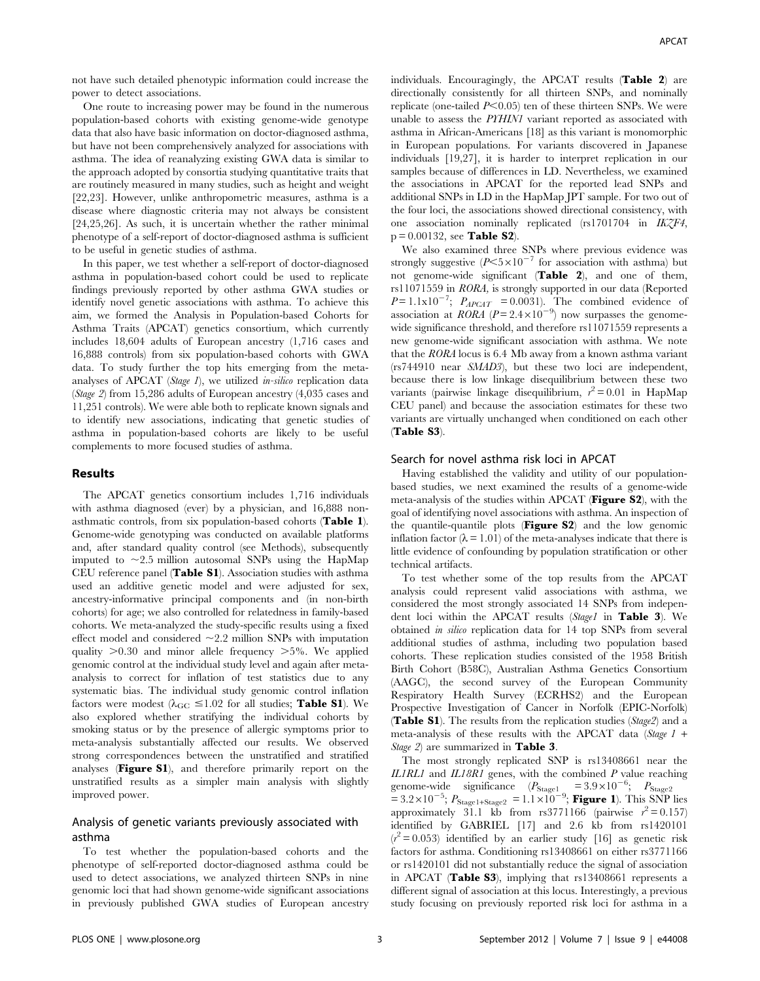not have such detailed phenotypic information could increase the power to detect associations.

One route to increasing power may be found in the numerous population-based cohorts with existing genome-wide genotype data that also have basic information on doctor-diagnosed asthma, but have not been comprehensively analyzed for associations with asthma. The idea of reanalyzing existing GWA data is similar to the approach adopted by consortia studying quantitative traits that are routinely measured in many studies, such as height and weight [22,23]. However, unlike anthropometric measures, asthma is a disease where diagnostic criteria may not always be consistent [24,25,26]. As such, it is uncertain whether the rather minimal phenotype of a self-report of doctor-diagnosed asthma is sufficient to be useful in genetic studies of asthma.

In this paper, we test whether a self-report of doctor-diagnosed asthma in population-based cohort could be used to replicate findings previously reported by other asthma GWA studies or identify novel genetic associations with asthma. To achieve this aim, we formed the Analysis in Population-based Cohorts for Asthma Traits (APCAT) genetics consortium, which currently includes 18,604 adults of European ancestry (1,716 cases and 16,888 controls) from six population-based cohorts with GWA data. To study further the top hits emerging from the metaanalyses of APCAT (Stage 1), we utilized  $in-silico$  replication data (Stage 2) from 15,286 adults of European ancestry (4,035 cases and 11,251 controls). We were able both to replicate known signals and to identify new associations, indicating that genetic studies of asthma in population-based cohorts are likely to be useful complements to more focused studies of asthma.

# Results

The APCAT genetics consortium includes 1,716 individuals with asthma diagnosed (ever) by a physician, and 16,888 nonasthmatic controls, from six population-based cohorts (Table 1). Genome-wide genotyping was conducted on available platforms and, after standard quality control (see Methods), subsequently imputed to  $\sim$  2.5 million autosomal SNPs using the HapMap CEU reference panel (Table S1). Association studies with asthma used an additive genetic model and were adjusted for sex, ancestry-informative principal components and (in non-birth cohorts) for age; we also controlled for relatedness in family-based cohorts. We meta-analyzed the study-specific results using a fixed effect model and considered  $\sim$  2.2 million SNPs with imputation quality  $>0.30$  and minor allele frequency  $>5\%$ . We applied genomic control at the individual study level and again after metaanalysis to correct for inflation of test statistics due to any systematic bias. The individual study genomic control inflation factors were modest ( $\lambda_{\text{GC}} \leq 1.02$  for all studies; **Table S1**). We also explored whether stratifying the individual cohorts by smoking status or by the presence of allergic symptoms prior to meta-analysis substantially affected our results. We observed strong correspondences between the unstratified and stratified analyses (Figure S1), and therefore primarily report on the unstratified results as a simpler main analysis with slightly improved power.

# Analysis of genetic variants previously associated with asthma

To test whether the population-based cohorts and the phenotype of self-reported doctor-diagnosed asthma could be used to detect associations, we analyzed thirteen SNPs in nine genomic loci that had shown genome-wide significant associations in previously published GWA studies of European ancestry individuals. Encouragingly, the APCAT results (Table 2) are directionally consistently for all thirteen SNPs, and nominally replicate (one-tailed  $P<0.05$ ) ten of these thirteen SNPs. We were unable to assess the PYHIN1 variant reported as associated with asthma in African-Americans [18] as this variant is monomorphic in European populations. For variants discovered in Japanese individuals [19,27], it is harder to interpret replication in our samples because of differences in LD. Nevertheless, we examined the associations in APCAT for the reported lead SNPs and additional SNPs in LD in the HapMap JPT sample. For two out of the four loci, the associations showed directional consistency, with one association nominally replicated (rs1701704 in IKZF4,  $p = 0.00132$ , see **Table S2**).

We also examined three SNPs where previous evidence was strongly suggestive  $(P<5\times10^{-7}$  for association with asthma) but not genome-wide significant (Table 2), and one of them, rs11071559 in RORA, is strongly supported in our data (Reported  $P = 1.1 \times 10^{-7}$ ;  $P_{APCAT} = 0.0031$ ). The combined evidence of association at *RORA* ( $P = 2.4 \times 10^{-9}$ ) now surpasses the genomewide significance threshold, and therefore rs11071559 represents a new genome-wide significant association with asthma. We note that the RORA locus is 6.4 Mb away from a known asthma variant (rs744910 near SMAD3), but these two loci are independent, because there is low linkage disequilibrium between these two variants (pairwise linkage disequilibrium,  $r^2 = 0.01$  in HapMap CEU panel) and because the association estimates for these two variants are virtually unchanged when conditioned on each other (Table S3).

#### Search for novel asthma risk loci in APCAT

Having established the validity and utility of our populationbased studies, we next examined the results of a genome-wide meta-analysis of the studies within APCAT (Figure S2), with the goal of identifying novel associations with asthma. An inspection of the quantile-quantile plots (Figure S2) and the low genomic inflation factor ( $\lambda = 1.01$ ) of the meta-analyses indicate that there is little evidence of confounding by population stratification or other technical artifacts.

To test whether some of the top results from the APCAT analysis could represent valid associations with asthma, we considered the most strongly associated 14 SNPs from independent loci within the APCAT results (Stage1 in Table 3). We obtained in silico replication data for 14 top SNPs from several additional studies of asthma, including two population based cohorts. These replication studies consisted of the 1958 British Birth Cohort (B58C), Australian Asthma Genetics Consortium (AAGC), the second survey of the European Community Respiratory Health Survey (ECRHS2) and the European Prospective Investigation of Cancer in Norfolk (EPIC-Norfolk) (Table S1). The results from the replication studies (Stage2) and a meta-analysis of these results with the APCAT data (Stage  $1 +$ Stage 2) are summarized in **Table 3**.

The most strongly replicated SNP is rs13408661 near the IL1RL1 and IL18R1 genes, with the combined  $P$  value reaching genome-wide significance  $(P_{\text{Stage1}} = 3.9 \times 10^{-6}; P_{\text{Stage2}} = 3.2 \times 10^{-5}; P_{\text{Stage2}} = 1.1 \times 10^{-9}; \text{ Figure 1).}$  This SNP lies approximately 31.1 kb from rs3771166 (pairwise  $r^2 = 0.157$ ) identified by GABRIEL [17] and 2.6 kb from rs1420101  $(r^2 = 0.053)$  identified by an earlier study [16] as genetic risk factors for asthma. Conditioning rs13408661 on either rs3771166 or rs1420101 did not substantially reduce the signal of association in APCAT (Table S3), implying that rs13408661 represents a different signal of association at this locus. Interestingly, a previous study focusing on previously reported risk loci for asthma in a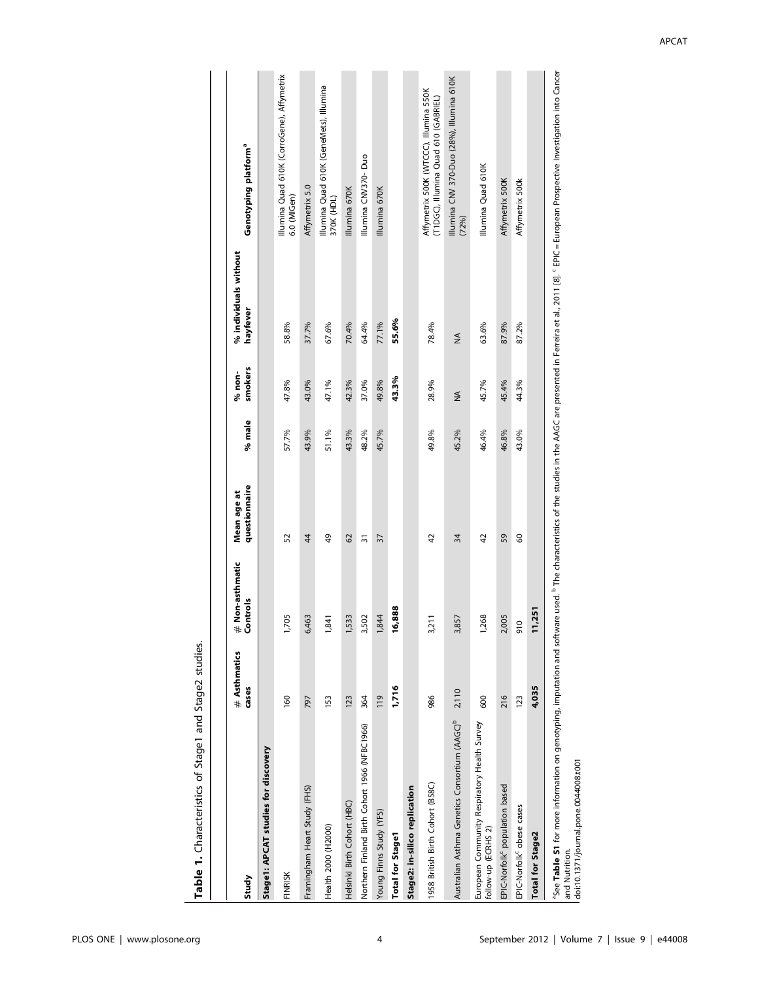| Ì<br>$\overline{ }$ |
|---------------------|
| ì<br>Ξ              |
| J<br>ı<br>ľ         |
| j                   |
|                     |
|                     |
|                     |

|                                                                                                                                                                                                                                                            | # Asthmatics    | Non-asthmatic        | Mean age at    |        | % non-  | % individuals without |                                                                                |
|------------------------------------------------------------------------------------------------------------------------------------------------------------------------------------------------------------------------------------------------------------|-----------------|----------------------|----------------|--------|---------|-----------------------|--------------------------------------------------------------------------------|
| Study                                                                                                                                                                                                                                                      | cases           | # Non-as<br>Controls | questionnaire  | % male | smokers | hayfever              | <b>Genotyping platform<sup>a</sup></b>                                         |
| Stage1: APCAT studies for discovery                                                                                                                                                                                                                        |                 |                      |                |        |         |                       |                                                                                |
| FINRISK                                                                                                                                                                                                                                                    | 160             | 1,705                | 52             | 57.7%  | 47.8%   | 58.8%                 | Illumina Quad 610K (CorroGene), Affymetrix<br>6.0 (MIGen)                      |
| Framingham Heart Study (FHS)                                                                                                                                                                                                                               | 797             | 6,463                | 44             | 43.9%  | 43.0%   | 37.7%                 | Affymetrix 5.0                                                                 |
| Health 2000 (H2000)                                                                                                                                                                                                                                        | 153             | 1,841                | 49             | 51.1%  | 47.1%   | 67.6%                 | Illumina Quad 610K (GeneMets), Illumina<br>370K (HDL)                          |
| Helsinki Birth Cohort (HBC)                                                                                                                                                                                                                                | 123             | 1,533                | 62             | 43.3%  | 42.3%   | 70.4%                 | Illumina 670K                                                                  |
| Northern Finland Birth Cohort 1966 (NFBC1966)                                                                                                                                                                                                              | 364             | 3,502                | స్             | 48.2%  | 37.0%   | 64.4%                 | Illumina CNV370-Duo                                                            |
| Young Finns Study (YFS)                                                                                                                                                                                                                                    | $\frac{611}{2}$ | 1,844                | 37             | 45.7%  | 49.8%   | 77.1%                 | Illumina 670K                                                                  |
| <b>Total for Stage1</b>                                                                                                                                                                                                                                    | 1,716           | 888<br><u>َی</u>     |                |        | 43.3%   | 55.6%                 |                                                                                |
| Stage2: in-silico replication                                                                                                                                                                                                                              |                 |                      |                |        |         |                       |                                                                                |
| 1958 British Birth Cohort (B58C)                                                                                                                                                                                                                           | 986             | 3,211                | $\overline{4}$ | 49.8%  | 28.9%   | 78.4%                 | Affymetrix 500K (WTCCC), Illumina 550K<br>(T1DGC), Illumina Quad 610 (GABRIEL) |
| Australian Asthma Genetics Consortium (AAGC) <sup>b</sup> 2,110                                                                                                                                                                                            |                 | 3,857                | 34             | 45.2%  | ≸       | ≸                     | Illumina CNV 370-Duo (28%), Illumina 610K<br>(72%)                             |
| European Community Respiratory Health Survey<br>follow-up (ECRHS 2)                                                                                                                                                                                        | 600             | 1,268                | 42             | 46.4%  | 45.7%   | 63.6%                 | Illumina Quad 610K                                                             |
| EPIC-Norfolk <sup>c</sup> population based                                                                                                                                                                                                                 | 216             | 2,005                | 59             | 46.8%  | 45.4%   | 87.9%                 | Affymetrix 500K                                                                |
| EPIC-Norfolk <sup>c</sup> obese cases                                                                                                                                                                                                                      | 123             | οι                   | 60             | 43.0%  | 44.3%   | 87.2%                 | Affymetrix 500k                                                                |
| <b>Total for Stage2</b>                                                                                                                                                                                                                                    | 4,035           | 251<br>Ξ             |                |        |         |                       |                                                                                |
| <sup>3</sup> See Table S1 for more information on genotyping, imputation and software used. <sup>b</sup> The characteristics of the studies in the AAGC are presented in Ferreira et al., 2011 [8]. <sup>C</sup> EPIC = European Prospective Investigation |                 |                      |                |        |         |                       |                                                                                |

Ċ I. 5.  $\overline{a}$  $\ddot{ }$ | "See **Table S1** for more information on<br>| and Nutrition.<br>| doi:10.1371/journal.pone.0044008.t001 and Nutrition.

doi:10.1371/journal.pone.0044008.t001

APCAT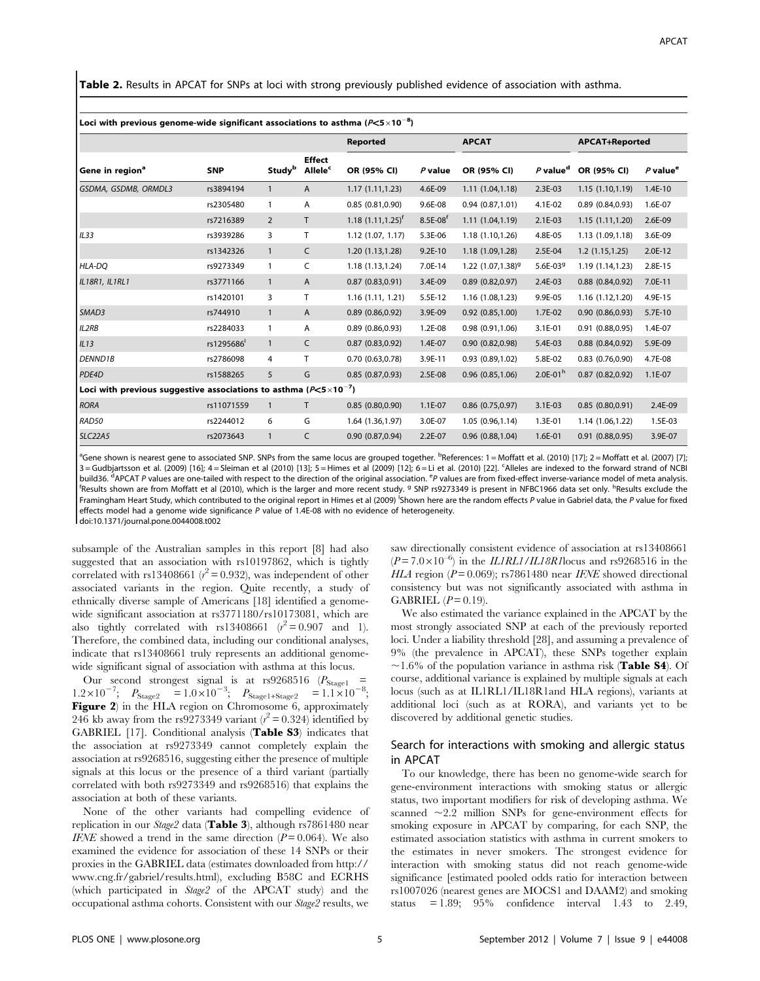Table 2. Results in APCAT for SNPs at loci with strong previously published evidence of association with asthma.

|                                                                                   |            |                           |                                      | <b>Reported</b>           |                        | <b>APCAT</b>          |                        | <b>APCAT+Reported</b> |                        |
|-----------------------------------------------------------------------------------|------------|---------------------------|--------------------------------------|---------------------------|------------------------|-----------------------|------------------------|-----------------------|------------------------|
| Gene in region <sup>a</sup>                                                       | <b>SNP</b> | <b>Study</b> <sup>b</sup> | <b>Effect</b><br>Allele <sup>c</sup> | OR (95% CI)               | $P$ value              | OR (95% CI)           | $P$ value <sup>d</sup> | OR (95% CI)           | $P$ value <sup>e</sup> |
| GSDMA, GSDMB, ORMDL3                                                              | rs3894194  | $\mathbf{1}$              | A                                    | 1.17(1.11, 1.23)          | 4.6E-09                | 1.11(1.04, 1.18)      | 2.3E-03                | 1.15(1.10, 1.19)      | $1.4E-10$              |
|                                                                                   | rs2305480  | 1                         | Α                                    | 0.85(0.81, 0.90)          | 9.6E-08                | 0.94(0.87, 1.01)      | 4.1E-02                | 0.89(0.84, 0.93)      | 1.6E-07                |
|                                                                                   | rs7216389  | $\overline{2}$            | T.                                   | $1.18$ $(1.11, 1.25)^{t}$ | $8.5E-08$ <sup>t</sup> | 1.11(1.04, 1.19)      | $2.1E-03$              | 1.15 (1.11,1.20)      | 2.6E-09                |
| IL33                                                                              | rs3939286  | 3                         | T.                                   | 1.12(1.07, 1.17)          | 5.3E-06                | 1.18 (1.10,1.26)      | 4.8E-05                | 1.13 (1.09,1.18)      | 3.6E-09                |
|                                                                                   | rs1342326  | $\mathbf{1}$              | C                                    | 1.20(1.13, 1.28)          | $9.2E-10$              | 1.18 (1.09,1.28)      | 2.5E-04                | 1.2(1.15, 1.25)       | 2.0E-12                |
| HLA-DQ                                                                            | rs9273349  | $\mathbf{1}$              | C                                    | 1.18 (1.13,1.24)          | 7.0E-14                | 1.22 $(1.07, 1.38)^9$ | 5.6E-03 $9$            | 1.19 (1.14,1.23)      | 2.8E-15                |
| IL18R1, IL1RL1                                                                    | rs3771166  | $\mathbf{1}$              | A                                    | 0.87(0.83, 0.91)          | 3.4E-09                | $0.89$ (0.82,0.97)    | 2.4E-03                | $0.88$ $(0.84, 0.92)$ | 7.0E-11                |
|                                                                                   | rs1420101  | 3                         | T                                    | 1.16(1.11, 1.21)          | 5.5E-12                | 1.16 (1.08,1.23)      | 9.9E-05                | 1.16 (1.12,1.20)      | 4.9E-15                |
| SMAD3                                                                             | rs744910   | $\mathbf{1}$              | A                                    | 0.89(0.86, 0.92)          | 3.9E-09                | $0.92$ $(0.85, 1.00)$ | 1.7E-02                | 0.90(0.86, 0.93)      | 5.7E-10                |
| <b>IL2RB</b>                                                                      | rs2284033  | 1                         | A                                    | 0.89(0.86, 0.93)          | 1.2E-08                | 0.98(0.91, 1.06)      | 3.1E-01                | 0.91(0.88, 0.95)      | 1.4E-07                |
| IL13                                                                              | rs1295686  | $\mathbf{1}$              | C                                    | 0.87(0.83, 0.92)          | 1.4E-07                | 0.90(0.82, 0.98)      | 5.4E-03                | $0.88$ $(0.84, 0.92)$ | 5.9E-09                |
| DENND1B                                                                           | rs2786098  | 4                         | Τ                                    | 0.70(0.63,0.78)           | 3.9E-11                | 0.93(0.89, 1.02)      | 5.8E-02                | $0.83$ $(0.76, 0.90)$ | 4.7E-08                |
| PDE4D                                                                             | rs1588265  | 5                         | G                                    | 0.85(0.87, 0.93)          | 2.5E-08                | $0.96$ $(0.85, 1.06)$ | $2.0E-01h$             | $0.87$ $(0.82, 0.92)$ | $1.1E-07$              |
| Loci with previous suggestive associations to asthma ( $P \le 5 \times 10^{-7}$ ) |            |                           |                                      |                           |                        |                       |                        |                       |                        |
| <b>RORA</b>                                                                       | rs11071559 | $\mathbf{1}$              | T.                                   | 0.85(0.80, 0.90)          | 1.1E-07                | $0.86$ $(0.75, 0.97)$ | 3.1E-03                | 0.85(0.80, 0.91)      | 2.4E-09                |
| RAD50                                                                             | rs2244012  | 6                         | G                                    | 1.64 (1.36,1.97)          | 3.0E-07                | 1.05 (0.96,1.14)      | 1.3E-01                | 1.14 (1.06,1.22)      | 1.5E-03                |
| <b>SLC22A5</b>                                                                    | rs2073643  | $\mathbf{1}$              | C                                    | 0.90(0.87, 0.94)          | 2.2E-07                | 0.96(0.88, 1.04)      | 1.6E-01                | 0.91(0.88, 0.95)      | 3.9E-07                |

Loci with previous genome-wide significant associations to asthma (P $<$ 5 $\times$ 10 $^{-8})$ 

<sup>a</sup>Gene shown is nearest gene to associated SNP. SNPs from the same locus are grouped together. <sup>b</sup>References: 1 = Moffatt et al. (2010) [17]; 2 = Moffatt et al. (2007) [7]; 3 = Gudbjartsson et al. (2009) [16]; 4 = Sleiman et al (2010) [13]; 5 = Himes et al (2009) [12]; 6 = Li et al. (2010) [22]. <sup>c</sup>Alleles are indexed to the forward strand of NCBI build36. <sup>d</sup>APCAT P values are one-tailed with respect to the direction of the original association. <sup>e</sup>P values are from fixed-effect inverse-variance model of meta analysis.<br><sup>f</sup>Pecults choure are from Meffatt et al.(2010 Results shown are from Moffatt et al (2010), which is the larger and more recent study. <sup>9</sup> SNP rs9273349 is present in NFBC1966 data set only. <sup>h</sup>Results exclude the Framingham Heart Study, which contributed to the original report in Himes et al (2009) <sup>i</sup>Shown here are the random effects P value in Gabriel data, the P value for fixed effects model had a genome wide significance P value of 1.4E-08 with no evidence of heterogeneity.

doi:10.1371/journal.pone.0044008.t002

subsample of the Australian samples in this report [8] had also suggested that an association with rs10197862, which is tightly correlated with rs13408661 ( $r^2$  = 0.932), was independent of other associated variants in the region. Quite recently, a study of ethnically diverse sample of Americans [18] identified a genomewide significant association at rs3771180/rs10173081, which are also tightly correlated with rs13408661  $(r^2 = 0.907$  and 1). Therefore, the combined data, including our conditional analyses, indicate that rs13408661 truly represents an additional genomewide significant signal of association with asthma at this locus.

Our second strongest signal is at rs9268516 ( $P_{\text{Stage1}}$  =  $1.2\times10^{-7}$ ;  $P_{\text{Stage2}} = 1.0\times10^{-3}$ ;  $P_{\text{Stage1+Stage2}} = 1.1\times10^{-8}$ ; Figure 2) in the HLA region on Chromosome 6, approximately 246 kb away from the rs9273349 variant ( $r^2 = 0.324$ ) identified by GABRIEL [17]. Conditional analysis (Table S3) indicates that the association at rs9273349 cannot completely explain the association at rs9268516, suggesting either the presence of multiple signals at this locus or the presence of a third variant (partially correlated with both rs9273349 and rs9268516) that explains the association at both of these variants.

None of the other variants had compelling evidence of replication in our Stage2 data (Table 3), although rs7861480 near IFNE showed a trend in the same direction  $(P=0.064)$ . We also examined the evidence for association of these 14 SNPs or their proxies in the GABRIEL data (estimates downloaded from http:// www.cng.fr/gabriel/results.html), excluding B58C and ECRHS (which participated in Stage2 of the APCAT study) and the occupational asthma cohorts. Consistent with our Stage2 results, we saw directionally consistent evidence of association at rs13408661  $(P = 7.0 \times 10^{-6})$  in the *ILIRL1/IL18R1* locus and rs9268516 in the HLA region ( $P = 0.069$ ); rs7861480 near IFNE showed directional consistency but was not significantly associated with asthma in GABRIEL  $(P=0.19)$ .

We also estimated the variance explained in the APCAT by the most strongly associated SNP at each of the previously reported loci. Under a liability threshold [28], and assuming a prevalence of 9% (the prevalence in APCAT), these SNPs together explain  $\sim$ 1.6% of the population variance in asthma risk (**Table S4**). Of course, additional variance is explained by multiple signals at each locus (such as at IL1RL1/IL18R1and HLA regions), variants at additional loci (such as at RORA), and variants yet to be discovered by additional genetic studies.

# Search for interactions with smoking and allergic status in APCAT

To our knowledge, there has been no genome-wide search for gene-environment interactions with smoking status or allergic status, two important modifiers for risk of developing asthma. We scanned  $\sim$ 2.2 million SNPs for gene-environment effects for smoking exposure in APCAT by comparing, for each SNP, the estimated association statistics with asthma in current smokers to the estimates in never smokers. The strongest evidence for interaction with smoking status did not reach genome-wide significance [estimated pooled odds ratio for interaction between rs1007026 (nearest genes are MOCS1 and DAAM2) and smoking status  $= 1.89$ ;  $95\%$  confidence interval 1.43 to 2.49,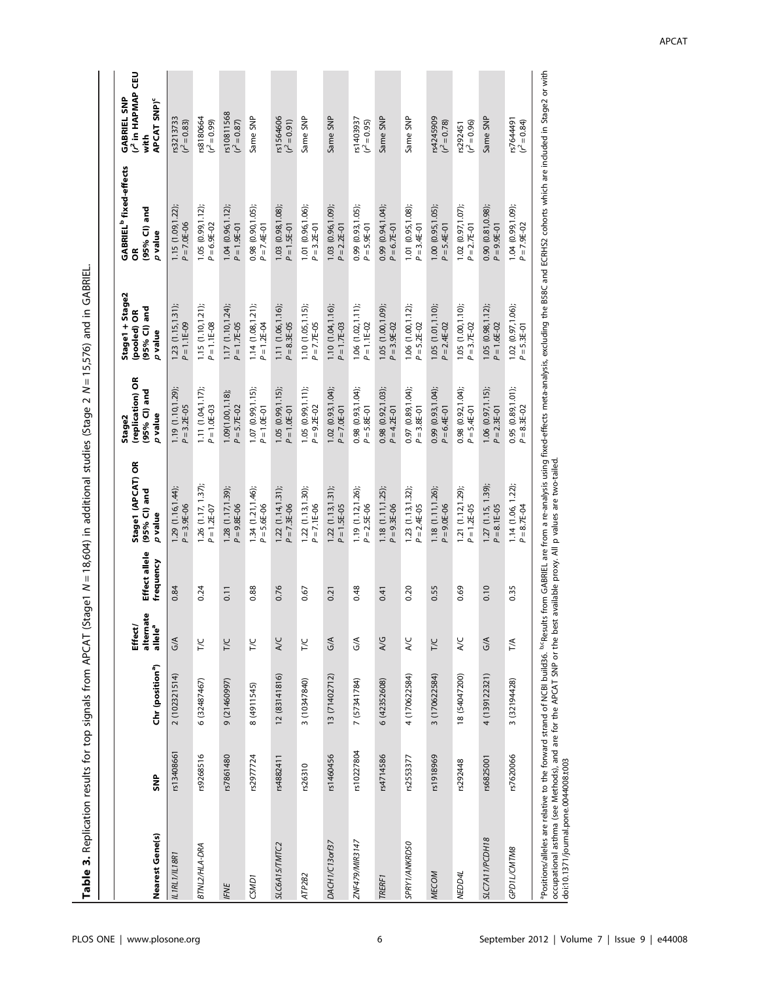| Nearest Gene(s)   | SNP        | Chr (position <sup>a</sup> ) | nate<br>allele <sup>a</sup><br>Effect<br>altern | Effect allele<br>frequency | Stage1 (APCAT) OR<br>(95% CI) and<br>$p$ value | (replication) OR<br>(95% CI) and<br>p value<br>Stage2 | Stage1 + Stage2<br>(95% CI) and<br>$p$ value<br>(pooled) OR | <b>GABRIEL<sup>b</sup></b> fixed-effects<br>and<br>(95% Cl)<br>p value<br>$\tilde{6}$ | (r <sup>2</sup> in HAPMAP CEU<br><b>GABRIEL SNP</b><br>APCAT SNP) <sup>c</sup><br>with |
|-------------------|------------|------------------------------|-------------------------------------------------|----------------------------|------------------------------------------------|-------------------------------------------------------|-------------------------------------------------------------|---------------------------------------------------------------------------------------|----------------------------------------------------------------------------------------|
| IL1RL1/IL18R1     | rs13408661 | 2 (102321514)                | $\frac{1}{2}$                                   | 0.84                       | 1.29(1.16, 1.44);<br>$P = 3.9E - 06$           | 1.19 (1.10, 1.29);<br>$P = 3.2E - 05$                 | 1.23(1.15, 1.31);<br>$P = 1.1E-09$                          | 1.15 (1.09, 1.22);<br>$P = 7.0E - 06$                                                 | rs3213733<br>$(r^2 = 0.83)$                                                            |
| BTNL2/HLA-DRA     | rs9268516  | 6 (32487467)                 | <b>T/C</b>                                      | 0.24                       | $1.26$ $(1.17, 1.37)$<br>$P = 1.2E - 07$       | 1.11 (1.04,1.17);<br>$P = 1.0E-03$                    | 1.15 (1.10, 1.21);<br>$P = 1.1E-08$                         | 1.05 $(0.99, 1.12)$ ;<br>$P = 6.9E-02$                                                | rs8180664<br>$(r^2 = 0.99)$                                                            |
| IFNE              | rs7861480  | 9 (21460997)                 | T/C                                             | 0.11                       | 1.28 (1.17, 1.39);<br>$P = 9.8E - 06$          | $1.09(1.00, 1.18);$<br>$P = 5.7E - 02$                | 1.17 (1.10,1.24);<br>$P = 1.7E-05$                          | $1.04$ (0.96,1.12);<br>$P = 1.9E-01$                                                  | rs10811568<br>$(r^2 = 0.87)$                                                           |
| CSMD <sub>1</sub> | rs2977724  | 8 (4911545)                  | <b>T/C</b>                                      | 0.88                       | $1.34(1.21, 1.46)$ ;<br>$P = 5.6E - 06$        | $1.07(0.99, 1.15);$<br>$P = 1.0E-01$                  | $1.14(1.08, 1.21)$ ;<br>$P = 1.2E - 04$                     | 0.98 (0.90, 1.05);<br>$P = 7.4E - 01$                                                 | Same SNP                                                                               |
| SLC6A15/TMTC2     | rs4882411  | 12 (83141816)                | A/C                                             | 0.76                       | $1.22$ $(1.14, 1.31)$ ;<br>$P = 7.3E - 06$     | $1.05(0.99, 1.15);$<br>$P = 1.0E-01$                  | 1.11 (1.06, 1.16);<br>$P = 8.3E - 05$                       | $1.03$ (0.98,1.08);<br>$P = 1.5E-01$                                                  | rs1564606<br>$(r^2 = 0.91)$                                                            |
| ATP2B2            | rs26310    | 3 (10347840)                 | TΙC                                             | 0.67                       | $1.22$ $(1.13, 1.30)$ ;<br>$P = 7.1E-06$       | 1.05 $(0.99, 1.11)$ ;<br>$P = 9.2E - 02$              | 1.10 (1.05, 1.15);<br>$P = 7.7E-05$                         | 1.01 (0.96, 1.06);<br>$P = 3.2E - 01$                                                 | Same SNP                                                                               |
| DACH1/C13orf37    | rs1460456  | 13 (71402712)                | $\frac{1}{2}$                                   | 0.21                       | $1.22$ $(1.13, 1.31)$ ;<br>$P = 1.5E - 05$     | $1.02$ (0.93,1.04);<br>$P = 7.0E-01$                  | 1.10(1.04, 1.16)<br>$P = 1.7E-03$                           | 1.03 $(0.96, 1.09)$ ;<br>$P = 2.2E-01$                                                | Same SNP                                                                               |
| ZNF479/MIR3147    | rs10227804 | 7 (57341784)                 | $\frac{1}{2}$                                   | 0.48                       | 1.19 (1.12, 1.26);<br>$P = 2.5E - 06$          | $0.98$ $(0.93, 1.04)$ ;<br>$P = 5.8E-01$              | $1.06$ $(1.02, 1.11)$ ;<br>$P = 1.1E - 02$                  | $0.99$ $(0.93, 1.05)$ ;<br>$P = 5.9E-01$                                              | $r s 1403937$<br>$(r^2 = 0.95)$                                                        |
| TRERF1            | rs4714586  | 6 (42352608)                 | $\frac{1}{2}$                                   | 0.41                       | 1.18(1.11, 1.25)<br>$P = 9.3E - 06$            | $0.98$ (0.92,1.03);<br>$P = 4.2E-01$                  | 1.05 (1.00, 1.09);<br>$P = 3.9E - 02$                       | $0.99$ $(0.94, 1.04)$ ;<br>$P = 6.7E - 01$                                            | Same SNP                                                                               |
| SPRY1/ANKRD50     | rs2553377  | 4 (170622584)                | $\lambda$ C                                     | 0.20                       | 1.23(1.13, 1.32);<br>$P = 2.4E - 05$           | $0.97(0.89, 1.04);$<br>$P = 3.8E-01$                  | $1.06$ $(1.00, 1.12)$ ;<br>$P = 5.2E - 02$                  | 1.01 (0.95, 1.08);<br>$P = 3.4E - 01$                                                 | Same SNP                                                                               |
| <b>MECOM</b>      | rs1918969  | 3 (170622584)                | <b>T/C</b>                                      | 0.55                       | 1.18 (1.11, 1.26);<br>$P = 9.0E - 06$          | $0.99$ $(0.93, 1.04)$ ;<br>$P = 6.4E-01$              | 1.05 (1.01, 1.10);<br>$P = 2.4E - 02$                       | 1.00 $(0.95, 1.05)$ ;<br>$P = 5.4E-01$                                                | $r$ s4245909<br>$(r^2 = 0.78)$                                                         |
| NEDD4L            | rs292448   | 18 (54047200)                | <b>A/C</b>                                      | 0.69                       | 1.21 (1.12, 1.29);<br>$P = 1.2E - 05$          | $0.98$ $(0.92, 1.04)$ ;<br>$P = 5.4E-01$              | 1.05 (1.00, 1.10);<br>$P = 3.7E - 02$                       | 1.02 (0.97, 1.07);<br>$P = 2.7E - 01$                                                 | $rs292451$<br>$(r^2 = 0.96)$                                                           |
| SLC7A11/PCDH18    | rs6825001  | 4 (139122321)                | $\frac{1}{2}$                                   | 0.10                       | 1.27(1.15, 1.39)<br>$P = 8.1E - 05$            | 1.06(0.97, 1.15)<br>$P = 2.3E - 01$                   | 1.05(0.98, 1.12)<br>$P = 1.6E - 02$                         | $0.90(0.81, 0.98);$<br>$P = 9.9E-01$                                                  | Same SNP                                                                               |
| GPD1L/CMTM8       | rs7620066  | 3 (32194428)                 | T/A                                             | 0.35                       | 1.14 (1.06, 1.22);<br>$P = 8.7E - 04$          | 0.95(0.89, 1.01);<br>$P = 8.3E - 02$                  | 1.02 (0.97, 1.06);<br>$P = 5.3E - 01$                       | 1.04 (0.99, 1.09);<br>$P = 7.9E - 02$                                                 | $r s7644491$<br>$(r2 = 0.84)$                                                          |

Table 3. Replication results for top signals from APCAT (Stage1 N = 18,604) in additional studies (Stage 2 N $N = 15,576$ ) and in GABRIEL.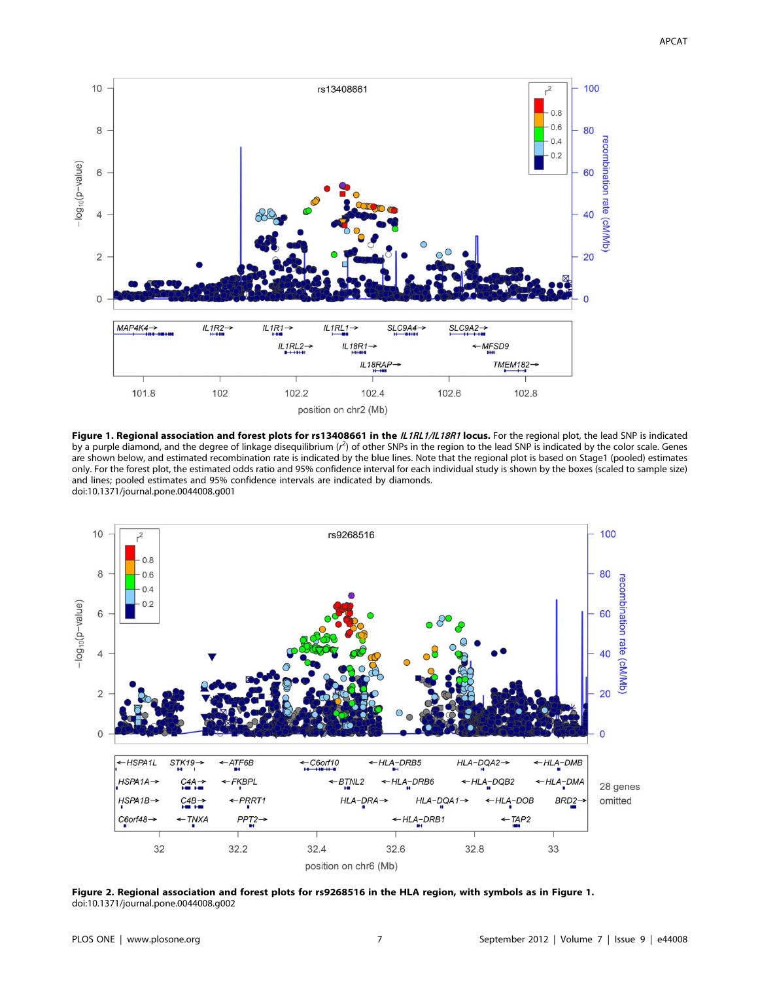

Figure 1. Regional association and forest plots for rs13408661 in the IL1RL1/IL18R1 locus. For the regional plot, the lead SNP is indicated by a purple diamond, and the degree of linkage disequilibrium (r<sup>2</sup>) of other SNPs in the region to the lead SNP is indicated by the color scale. Genes are shown below, and estimated recombination rate is indicated by the blue lines. Note that the regional plot is based on Stage1 (pooled) estimates only. For the forest plot, the estimated odds ratio and 95% confidence interval for each individual study is shown by the boxes (scaled to sample size) and lines; pooled estimates and 95% confidence intervals are indicated by diamonds. doi:10.1371/journal.pone.0044008.g001



Figure 2. Regional association and forest plots for rs9268516 in the HLA region, with symbols as in Figure 1. doi:10.1371/journal.pone.0044008.g002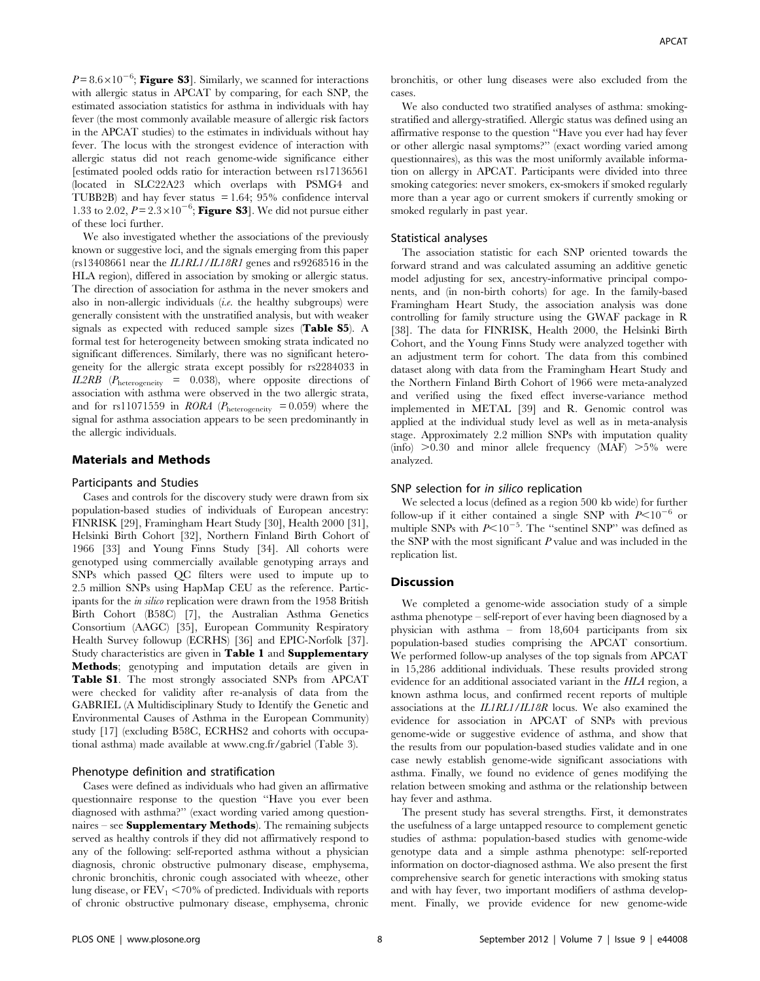$P = 8.6 \times 10^{-6}$ ; Figure S3]. Similarly, we scanned for interactions with allergic status in APCAT by comparing, for each SNP, the estimated association statistics for asthma in individuals with hay fever (the most commonly available measure of allergic risk factors in the APCAT studies) to the estimates in individuals without hay fever. The locus with the strongest evidence of interaction with allergic status did not reach genome-wide significance either [estimated pooled odds ratio for interaction between rs17136561 (located in SLC22A23 which overlaps with PSMG4 and TUBB2B) and hay fever status  $= 1.64$ ; 95% confidence interval 1.33 to 2.02,  $P = 2.3 \times 10^{-6}$ ; Figure S3]. We did not pursue either of these loci further.

We also investigated whether the associations of the previously known or suggestive loci, and the signals emerging from this paper  $(rs13408661$  near the  $ILIRL1/IL18RI$  genes and  $rs9268516$  in the HLA region), differed in association by smoking or allergic status. The direction of association for asthma in the never smokers and also in non-allergic individuals  $(i.e.$  the healthy subgroups) were generally consistent with the unstratified analysis, but with weaker signals as expected with reduced sample sizes (Table S5). A formal test for heterogeneity between smoking strata indicated no significant differences. Similarly, there was no significant heterogeneity for the allergic strata except possibly for rs2284033 in IL2RB ( $P_{\text{heterogeneity}} = 0.038$ ), where opposite directions of association with asthma were observed in the two allergic strata, and for rs11071559 in RORA ( $P_{heterogeneity} = 0.059$ ) where the signal for asthma association appears to be seen predominantly in the allergic individuals.

## Materials and Methods

#### Participants and Studies

Cases and controls for the discovery study were drawn from six population-based studies of individuals of European ancestry: FINRISK [29], Framingham Heart Study [30], Health 2000 [31], Helsinki Birth Cohort [32], Northern Finland Birth Cohort of 1966 [33] and Young Finns Study [34]. All cohorts were genotyped using commercially available genotyping arrays and SNPs which passed QC filters were used to impute up to 2.5 million SNPs using HapMap CEU as the reference. Participants for the in silico replication were drawn from the 1958 British Birth Cohort (B58C) [7], the Australian Asthma Genetics Consortium (AAGC) [35], European Community Respiratory Health Survey followup (ECRHS) [36] and EPIC-Norfolk [37]. Study characteristics are given in Table 1 and Supplementary Methods; genotyping and imputation details are given in Table S1. The most strongly associated SNPs from APCAT were checked for validity after re-analysis of data from the GABRIEL (A Multidisciplinary Study to Identify the Genetic and Environmental Causes of Asthma in the European Community) study [17] (excluding B58C, ECRHS2 and cohorts with occupational asthma) made available at www.cng.fr/gabriel (Table 3).

# Phenotype definition and stratification

Cases were defined as individuals who had given an affirmative questionnaire response to the question ''Have you ever been diagnosed with asthma?'' (exact wording varied among questionnaires - see Supplementary Methods). The remaining subjects served as healthy controls if they did not affirmatively respond to any of the following: self-reported asthma without a physician diagnosis, chronic obstructive pulmonary disease, emphysema, chronic bronchitis, chronic cough associated with wheeze, other lung disease, or  $FEV_1 < 70\%$  of predicted. Individuals with reports of chronic obstructive pulmonary disease, emphysema, chronic

bronchitis, or other lung diseases were also excluded from the cases.

We also conducted two stratified analyses of asthma: smokingstratified and allergy-stratified. Allergic status was defined using an affirmative response to the question ''Have you ever had hay fever or other allergic nasal symptoms?'' (exact wording varied among questionnaires), as this was the most uniformly available information on allergy in APCAT. Participants were divided into three smoking categories: never smokers, ex-smokers if smoked regularly more than a year ago or current smokers if currently smoking or smoked regularly in past year.

#### Statistical analyses

The association statistic for each SNP oriented towards the forward strand and was calculated assuming an additive genetic model adjusting for sex, ancestry-informative principal components, and (in non-birth cohorts) for age. In the family-based Framingham Heart Study, the association analysis was done controlling for family structure using the GWAF package in R [38]. The data for FINRISK, Health 2000, the Helsinki Birth Cohort, and the Young Finns Study were analyzed together with an adjustment term for cohort. The data from this combined dataset along with data from the Framingham Heart Study and the Northern Finland Birth Cohort of 1966 were meta-analyzed and verified using the fixed effect inverse-variance method implemented in METAL [39] and R. Genomic control was applied at the individual study level as well as in meta-analysis stage. Approximately 2.2 million SNPs with imputation quality (info)  $>0.30$  and minor allele frequency (MAF)  $>5\%$  were analyzed.

#### SNP selection for in silico replication

We selected a locus (defined as a region 500 kb wide) for further follow-up if it either contained a single SNP with  $P<10^{-6}$  or multiple SNPs with  $P<10^{-5}$ . The "sentinel SNP" was defined as the SNP with the most significant  $P$  value and was included in the replication list.

# **Discussion**

We completed a genome-wide association study of a simple asthma phenotype – self-report of ever having been diagnosed by a physician with asthma – from 18,604 participants from six population-based studies comprising the APCAT consortium. We performed follow-up analyses of the top signals from APCAT in 15,286 additional individuals. These results provided strong evidence for an additional associated variant in the HLA region, a known asthma locus, and confirmed recent reports of multiple associations at the IL1RL1/IL18R locus. We also examined the evidence for association in APCAT of SNPs with previous genome-wide or suggestive evidence of asthma, and show that the results from our population-based studies validate and in one case newly establish genome-wide significant associations with asthma. Finally, we found no evidence of genes modifying the relation between smoking and asthma or the relationship between hay fever and asthma.

The present study has several strengths. First, it demonstrates the usefulness of a large untapped resource to complement genetic studies of asthma: population-based studies with genome-wide genotype data and a simple asthma phenotype: self-reported information on doctor-diagnosed asthma. We also present the first comprehensive search for genetic interactions with smoking status and with hay fever, two important modifiers of asthma development. Finally, we provide evidence for new genome-wide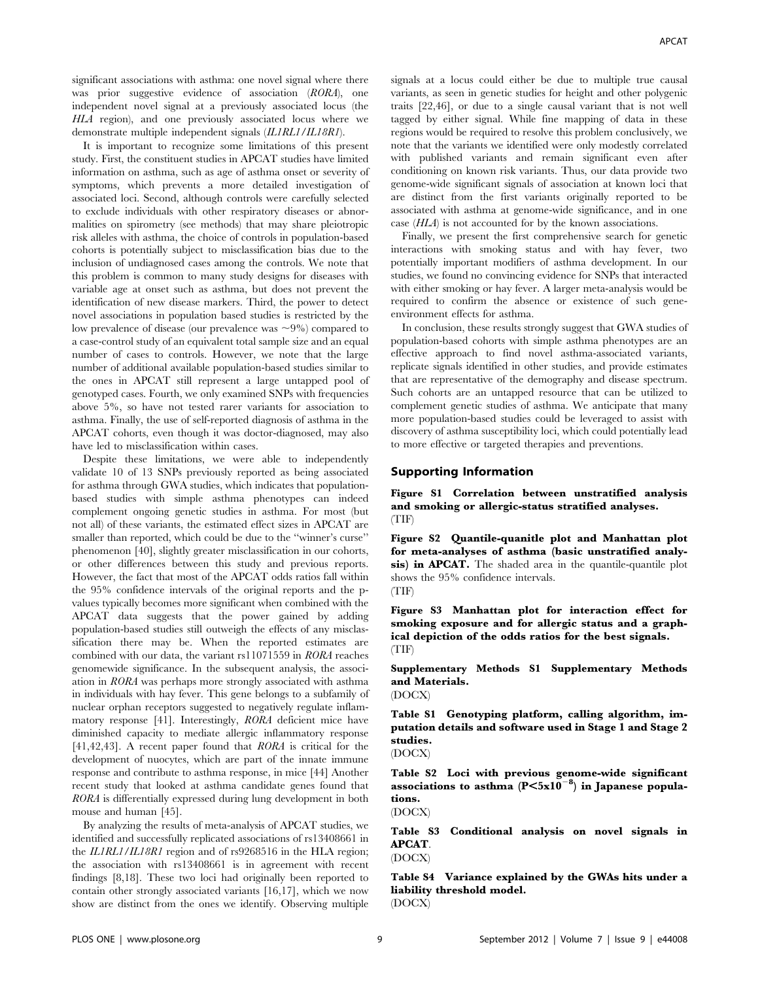significant associations with asthma: one novel signal where there was prior suggestive evidence of association (RORA), one independent novel signal at a previously associated locus (the HLA region), and one previously associated locus where we demonstrate multiple independent signals (IL1RL1/IL18R1).

It is important to recognize some limitations of this present study. First, the constituent studies in APCAT studies have limited information on asthma, such as age of asthma onset or severity of symptoms, which prevents a more detailed investigation of associated loci. Second, although controls were carefully selected to exclude individuals with other respiratory diseases or abnormalities on spirometry (see methods) that may share pleiotropic risk alleles with asthma, the choice of controls in population-based cohorts is potentially subject to misclassification bias due to the inclusion of undiagnosed cases among the controls. We note that this problem is common to many study designs for diseases with variable age at onset such as asthma, but does not prevent the identification of new disease markers. Third, the power to detect novel associations in population based studies is restricted by the low prevalence of disease (our prevalence was  $\sim 9\%$ ) compared to a case-control study of an equivalent total sample size and an equal number of cases to controls. However, we note that the large number of additional available population-based studies similar to the ones in APCAT still represent a large untapped pool of genotyped cases. Fourth, we only examined SNPs with frequencies above 5%, so have not tested rarer variants for association to asthma. Finally, the use of self-reported diagnosis of asthma in the APCAT cohorts, even though it was doctor-diagnosed, may also have led to misclassification within cases.

Despite these limitations, we were able to independently validate 10 of 13 SNPs previously reported as being associated for asthma through GWA studies, which indicates that populationbased studies with simple asthma phenotypes can indeed complement ongoing genetic studies in asthma. For most (but not all) of these variants, the estimated effect sizes in APCAT are smaller than reported, which could be due to the ''winner's curse'' phenomenon [40], slightly greater misclassification in our cohorts, or other differences between this study and previous reports. However, the fact that most of the APCAT odds ratios fall within the 95% confidence intervals of the original reports and the pvalues typically becomes more significant when combined with the APCAT data suggests that the power gained by adding population-based studies still outweigh the effects of any misclassification there may be. When the reported estimates are combined with our data, the variant rs11071559 in RORA reaches genomewide significance. In the subsequent analysis, the association in RORA was perhaps more strongly associated with asthma in individuals with hay fever. This gene belongs to a subfamily of nuclear orphan receptors suggested to negatively regulate inflammatory response [41]. Interestingly, RORA deficient mice have diminished capacity to mediate allergic inflammatory response [41,42,43]. A recent paper found that RORA is critical for the development of nuocytes, which are part of the innate immune response and contribute to asthma response, in mice [44] Another recent study that looked at asthma candidate genes found that RORA is differentially expressed during lung development in both mouse and human [45].

By analyzing the results of meta-analysis of APCAT studies, we identified and successfully replicated associations of rs13408661 in the IL1RL1/IL18R1 region and of rs9268516 in the HLA region; the association with rs13408661 is in agreement with recent findings [8,18]. These two loci had originally been reported to contain other strongly associated variants [16,17], which we now show are distinct from the ones we identify. Observing multiple

signals at a locus could either be due to multiple true causal variants, as seen in genetic studies for height and other polygenic traits [22,46], or due to a single causal variant that is not well tagged by either signal. While fine mapping of data in these regions would be required to resolve this problem conclusively, we note that the variants we identified were only modestly correlated with published variants and remain significant even after conditioning on known risk variants. Thus, our data provide two genome-wide significant signals of association at known loci that are distinct from the first variants originally reported to be associated with asthma at genome-wide significance, and in one case (HLA) is not accounted for by the known associations.

Finally, we present the first comprehensive search for genetic interactions with smoking status and with hay fever, two potentially important modifiers of asthma development. In our studies, we found no convincing evidence for SNPs that interacted with either smoking or hay fever. A larger meta-analysis would be required to confirm the absence or existence of such geneenvironment effects for asthma.

In conclusion, these results strongly suggest that GWA studies of population-based cohorts with simple asthma phenotypes are an effective approach to find novel asthma-associated variants, replicate signals identified in other studies, and provide estimates that are representative of the demography and disease spectrum. Such cohorts are an untapped resource that can be utilized to complement genetic studies of asthma. We anticipate that many more population-based studies could be leveraged to assist with discovery of asthma susceptibility loci, which could potentially lead to more effective or targeted therapies and preventions.

#### Supporting Information

Figure S1 Correlation between unstratified analysis and smoking or allergic-status stratified analyses. (TIF)

Figure S2 Quantile-quanitle plot and Manhattan plot for meta-analyses of asthma (basic unstratified analysis) in **APCAT.** The shaded area in the quantile-quantile plot shows the 95% confidence intervals. (TIF)

Figure S3 Manhattan plot for interaction effect for smoking exposure and for allergic status and a graphical depiction of the odds ratios for the best signals. (TIF)

Supplementary Methods S1 Supplementary Methods and Materials.

(DOCX)

Table S1 Genotyping platform, calling algorithm, imputation details and software used in Stage 1 and Stage 2 studies. (DOCX)

Table S2 Loci with previous genome-wide significant associations to asthma  $(P \le 5x10^{-8})$  in Japanese populations.

(DOCX)

Table S3 Conditional analysis on novel signals in APCAT.

(DOCX)

Table S4 Variance explained by the GWAs hits under a liability threshold model.

(DOCX)